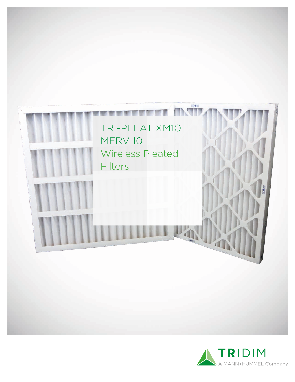

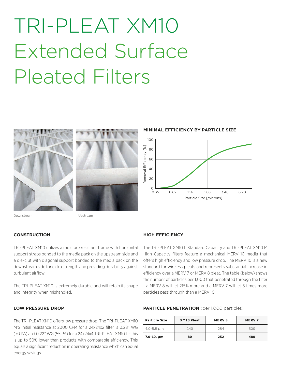# TRI-PLEAT XM10 Extended Surface Pleated Filters





**MINIMAL EFFICIENCY BY PARTICLE SIZE**



Downstream Upstream

#### **CONSTRUCTION**

TRI-PLEAT XM10 utilizes a moisture resistant frame with horizontal support straps bonded to the media pack on the upstream side and a die-c ut with diagonal support bonded to the media pack on the downstream side for extra strength and providing durability against turbulent airflow.

The TRI-PLEAT XM10 is extremely durable and will retain its shape and integrity when mishandled.

### **LOW PRESSURE DROP**

The TRI-PLEAT XM10 offers low pressure drop. The TRI-PLEAT XM10 M'S initial resistance at 2000 CFM for a 24x24x2 filter is 0.28" WG (70 PA) and 0.22" WG (55 PA) for a 24x24x4 TRI-PLEAT XM10 L - this is up to 50% lower than products with comparable efficiency. This equals a significant reduction in operating resistance which can equal energy savings.

## **HIGH EFFICIENCY**

The TRI-PLEAT XM10 L Standard Capacity and TRI-PLEAT XM10 M High Capacity filters feature a mechanical MERV 10 media that offers high efficiency and low pressure drop. The MERV 10 is a new standard for wireless pleats and represents substantial increase in efficiency over a MERV 7 or MERV 8 pleat. The table (below) shows the number of particles per 1,000 that penetrated through the filter - a MERV 8 will let 215% more and a MERV 7 will let 5 times more particles pass through than a MERV 10.

#### **PARTICLE PENETRATION** (per 1,000 particles)

| <b>Particle Size</b> | XM10 Pleat | <b>MERV8</b> | <b>MERV7</b> |
|----------------------|------------|--------------|--------------|
| $4.0 - 5.5 \mu m$    | 140        | 284          | 500          |
| $7.0 - 10. \mu m$    | 80         | 252          | 480          |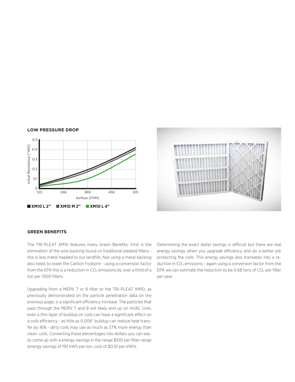



#### **LOW PRESSURE DROP**

#### **GREEN BENEFITS**

The TRI-PLEAT XM10 features many Green Benefits. First is the elimination of the wire backing found on traditional pleated filters this is less metal headed to our landfills. Not using a metal backing also helps to lower the Carbon Footprin - using a conversion factor from the EPA this is a reduction in  $CO<sub>2</sub>$  emissions by over a third of a ton per 1000 filters.

Upgrading from a MERV 7 or 8 filter to the TRI-PLEAT XM10, as previously demonstrated on the particle penetration data on the previous page, is a significant efficiency increase. The particles that pass through the MERV 7 and 8 will likely end up on HVAC coils, even a thin layer of buildup on coils can have a significant effect on a coils efficiency - as little as 0.006" buildup can reduce heat transfer by 16% - dirty coils may use as much as 37% more energy than clean. coils. Converting these percentages into dollars you can easily come up with a energy savings in the range \$100 per filter range (energy savings of 193 kWh per ton, cost of \$0.10 per kWh).

Determining the exact dollar savings is difficult but there are real energy savings when you upgrade efficiency and do a better job protecting the coils. This energy savings also translates into a reduction in  $CO<sub>2</sub>$  emissions - again using a conversion factor from the EPA we can estimate the reduction to be 0.68 tons of  $CO<sub>2</sub>$  per filter per year.